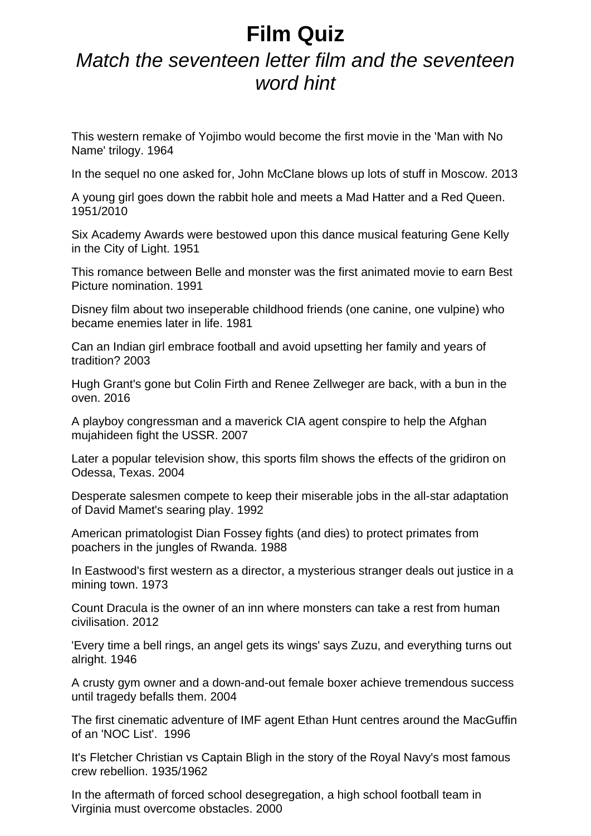## **Film Quiz**

## *Match the seventeen letter film and the seventeen word hint*

This western remake of Yojimbo would become the first movie in the 'Man with No Name' trilogy. 1964

In the sequel no one asked for, John McClane blows up lots of stuff in Moscow. 2013

A young girl goes down the rabbit hole and meets a Mad Hatter and a Red Queen. 1951/2010

Six Academy Awards were bestowed upon this dance musical featuring Gene Kelly in the City of Light. 1951

This romance between Belle and monster was the first animated movie to earn Best Picture nomination. 1991

Disney film about two inseperable childhood friends (one canine, one vulpine) who became enemies later in life. 1981

Can an Indian girl embrace football and avoid upsetting her family and years of tradition? 2003

Hugh Grant's gone but Colin Firth and Renee Zellweger are back, with a bun in the oven. 2016

A playboy congressman and a maverick CIA agent conspire to help the Afghan mujahideen fight the USSR. 2007

Later a popular television show, this sports film shows the effects of the gridiron on Odessa, Texas. 2004

Desperate salesmen compete to keep their miserable jobs in the all-star adaptation of David Mamet's searing play. 1992

American primatologist Dian Fossey fights (and dies) to protect primates from poachers in the jungles of Rwanda. 1988

In Eastwood's first western as a director, a mysterious stranger deals out justice in a mining town. 1973

Count Dracula is the owner of an inn where monsters can take a rest from human civilisation. 2012

'Every time a bell rings, an angel gets its wings' says Zuzu, and everything turns out alright. 1946

A crusty gym owner and a down-and-out female boxer achieve tremendous success until tragedy befalls them. 2004

The first cinematic adventure of IMF agent Ethan Hunt centres around the MacGuffin of an 'NOC List'. 1996

It's Fletcher Christian vs Captain Bligh in the story of the Royal Navy's most famous crew rebellion. 1935/1962

In the aftermath of forced school desegregation, a high school football team in Virginia must overcome obstacles. 2000